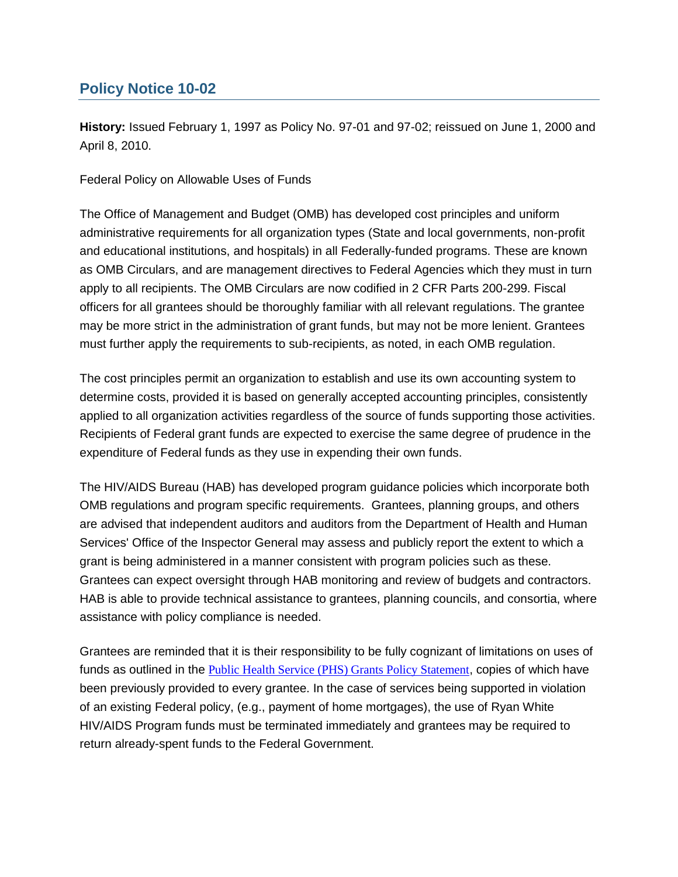# **Policy Notice 10-02**

**History:** Issued February 1, 1997 as Policy No. 97-01 and 97-02; reissued on June 1, 2000 and April 8, 2010.

Federal Policy on Allowable Uses of Funds

The Office of Management and Budget (OMB) has developed cost principles and uniform administrative requirements for all organization types (State and local governments, non-profit and educational institutions, and hospitals) in all Federally-funded programs. These are known as OMB Circulars, and are management directives to Federal Agencies which they must in turn apply to all recipients. The OMB Circulars are now codified in 2 CFR Parts 200-299. Fiscal officers for all grantees should be thoroughly familiar with all relevant regulations. The grantee may be more strict in the administration of grant funds, but may not be more lenient. Grantees must further apply the requirements to sub-recipients, as noted, in each OMB regulation.

The cost principles permit an organization to establish and use its own accounting system to determine costs, provided it is based on generally accepted accounting principles, consistently applied to all organization activities regardless of the source of funds supporting those activities. Recipients of Federal grant funds are expected to exercise the same degree of prudence in the expenditure of Federal funds as they use in expending their own funds.

The HIV/AIDS Bureau (HAB) has developed program guidance policies which incorporate both OMB regulations and program specific requirements. Grantees, planning groups, and others are advised that independent auditors and auditors from the Department of Health and Human Services' Office of the Inspector General may assess and publicly report the extent to which a grant is being administered in a manner consistent with program policies such as these. Grantees can expect oversight through HAB monitoring and review of budgets and contractors. HAB is able to provide technical assistance to grantees, planning councils, and consortia, where assistance with policy compliance is needed.

Grantees are reminded that it is their responsibility to be fully cognizant of limitations on uses of funds as outlined in the [Public Health Service \(PHS\) Grants Policy Statement](http://www.hrsa.gov/grants/index.html), copies of which have been previously provided to every grantee. In the case of services being supported in violation of an existing Federal policy, (e.g., payment of home mortgages), the use of Ryan White HIV/AIDS Program funds must be terminated immediately and grantees may be required to return already-spent funds to the Federal Government.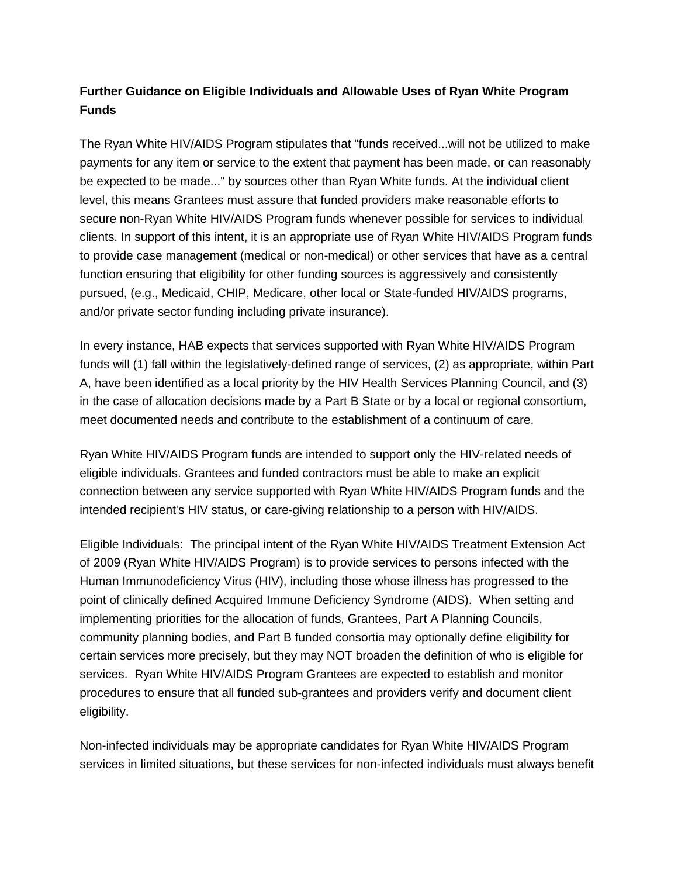## **Further Guidance on Eligible Individuals and Allowable Uses of Ryan White Program Funds**

The Ryan White HIV/AIDS Program stipulates that "funds received...will not be utilized to make payments for any item or service to the extent that payment has been made, or can reasonably be expected to be made..." by sources other than Ryan White funds. At the individual client level, this means Grantees must assure that funded providers make reasonable efforts to secure non-Ryan White HIV/AIDS Program funds whenever possible for services to individual clients. In support of this intent, it is an appropriate use of Ryan White HIV/AIDS Program funds to provide case management (medical or non-medical) or other services that have as a central function ensuring that eligibility for other funding sources is aggressively and consistently pursued, (e.g., Medicaid, CHIP, Medicare, other local or State-funded HIV/AIDS programs, and/or private sector funding including private insurance).

In every instance, HAB expects that services supported with Ryan White HIV/AIDS Program funds will (1) fall within the legislatively-defined range of services, (2) as appropriate, within Part A, have been identified as a local priority by the HIV Health Services Planning Council, and (3) in the case of allocation decisions made by a Part B State or by a local or regional consortium, meet documented needs and contribute to the establishment of a continuum of care.

Ryan White HIV/AIDS Program funds are intended to support only the HIV-related needs of eligible individuals. Grantees and funded contractors must be able to make an explicit connection between any service supported with Ryan White HIV/AIDS Program funds and the intended recipient's HIV status, or care-giving relationship to a person with HIV/AIDS.

Eligible Individuals: The principal intent of the Ryan White HIV/AIDS Treatment Extension Act of 2009 (Ryan White HIV/AIDS Program) is to provide services to persons infected with the Human Immunodeficiency Virus (HIV), including those whose illness has progressed to the point of clinically defined Acquired Immune Deficiency Syndrome (AIDS). When setting and implementing priorities for the allocation of funds, Grantees, Part A Planning Councils, community planning bodies, and Part B funded consortia may optionally define eligibility for certain services more precisely, but they may NOT broaden the definition of who is eligible for services. Ryan White HIV/AIDS Program Grantees are expected to establish and monitor procedures to ensure that all funded sub-grantees and providers verify and document client eligibility.

Non-infected individuals may be appropriate candidates for Ryan White HIV/AIDS Program services in limited situations, but these services for non-infected individuals must always benefit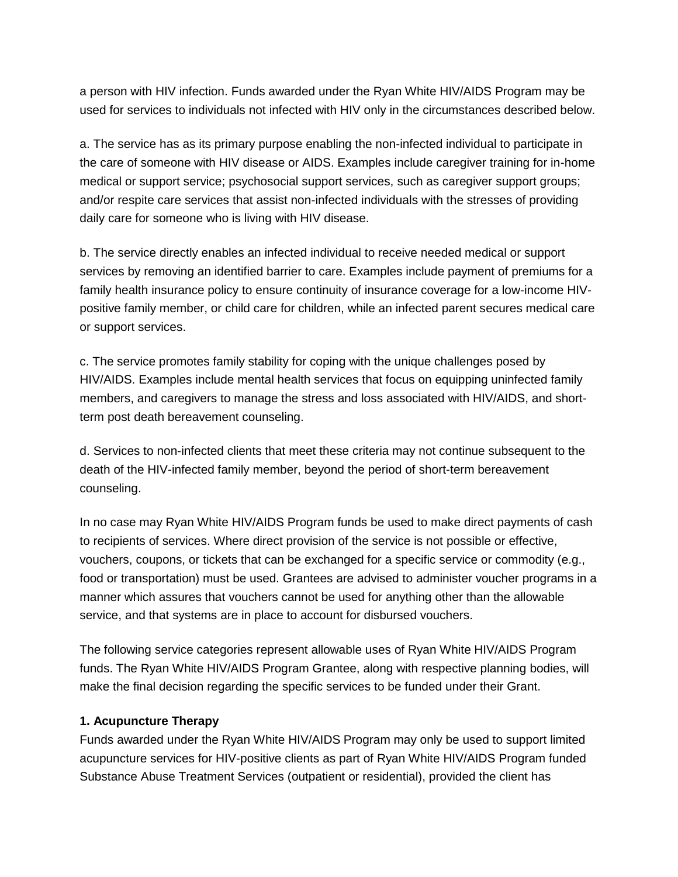a person with HIV infection. Funds awarded under the Ryan White HIV/AIDS Program may be used for services to individuals not infected with HIV only in the circumstances described below.

a. The service has as its primary purpose enabling the non-infected individual to participate in the care of someone with HIV disease or AIDS. Examples include caregiver training for in-home medical or support service; psychosocial support services, such as caregiver support groups; and/or respite care services that assist non-infected individuals with the stresses of providing daily care for someone who is living with HIV disease.

b. The service directly enables an infected individual to receive needed medical or support services by removing an identified barrier to care. Examples include payment of premiums for a family health insurance policy to ensure continuity of insurance coverage for a low-income HIVpositive family member, or child care for children, while an infected parent secures medical care or support services.

c. The service promotes family stability for coping with the unique challenges posed by HIV/AIDS. Examples include mental health services that focus on equipping uninfected family members, and caregivers to manage the stress and loss associated with HIV/AIDS, and shortterm post death bereavement counseling.

d. Services to non-infected clients that meet these criteria may not continue subsequent to the death of the HIV-infected family member, beyond the period of short-term bereavement counseling.

In no case may Ryan White HIV/AIDS Program funds be used to make direct payments of cash to recipients of services. Where direct provision of the service is not possible or effective, vouchers, coupons, or tickets that can be exchanged for a specific service or commodity (e.g., food or transportation) must be used. Grantees are advised to administer voucher programs in a manner which assures that vouchers cannot be used for anything other than the allowable service, and that systems are in place to account for disbursed vouchers.

The following service categories represent allowable uses of Ryan White HIV/AIDS Program funds. The Ryan White HIV/AIDS Program Grantee, along with respective planning bodies, will make the final decision regarding the specific services to be funded under their Grant.

#### **1. Acupuncture Therapy**

Funds awarded under the Ryan White HIV/AIDS Program may only be used to support limited acupuncture services for HIV-positive clients as part of Ryan White HIV/AIDS Program funded Substance Abuse Treatment Services (outpatient or residential), provided the client has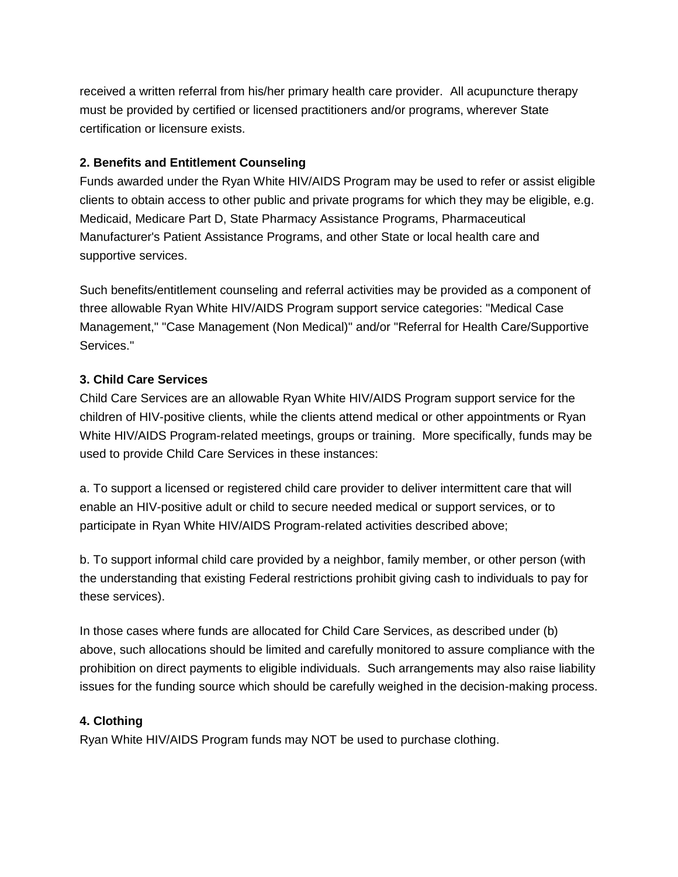received a written referral from his/her primary health care provider. All acupuncture therapy must be provided by certified or licensed practitioners and/or programs, wherever State certification or licensure exists.

#### **2. Benefits and Entitlement Counseling**

Funds awarded under the Ryan White HIV/AIDS Program may be used to refer or assist eligible clients to obtain access to other public and private programs for which they may be eligible, e.g. Medicaid, Medicare Part D, State Pharmacy Assistance Programs, Pharmaceutical Manufacturer's Patient Assistance Programs, and other State or local health care and supportive services.

Such benefits/entitlement counseling and referral activities may be provided as a component of three allowable Ryan White HIV/AIDS Program support service categories: "Medical Case Management," "Case Management (Non Medical)" and/or "Referral for Health Care/Supportive Services."

#### **3. Child Care Services**

Child Care Services are an allowable Ryan White HIV/AIDS Program support service for the children of HIV-positive clients, while the clients attend medical or other appointments or Ryan White HIV/AIDS Program-related meetings, groups or training. More specifically, funds may be used to provide Child Care Services in these instances:

a. To support a licensed or registered child care provider to deliver intermittent care that will enable an HIV-positive adult or child to secure needed medical or support services, or to participate in Ryan White HIV/AIDS Program-related activities described above;

b. To support informal child care provided by a neighbor, family member, or other person (with the understanding that existing Federal restrictions prohibit giving cash to individuals to pay for these services).

In those cases where funds are allocated for Child Care Services, as described under (b) above, such allocations should be limited and carefully monitored to assure compliance with the prohibition on direct payments to eligible individuals. Such arrangements may also raise liability issues for the funding source which should be carefully weighed in the decision-making process.

#### **4. Clothing**

Ryan White HIV/AIDS Program funds may NOT be used to purchase clothing.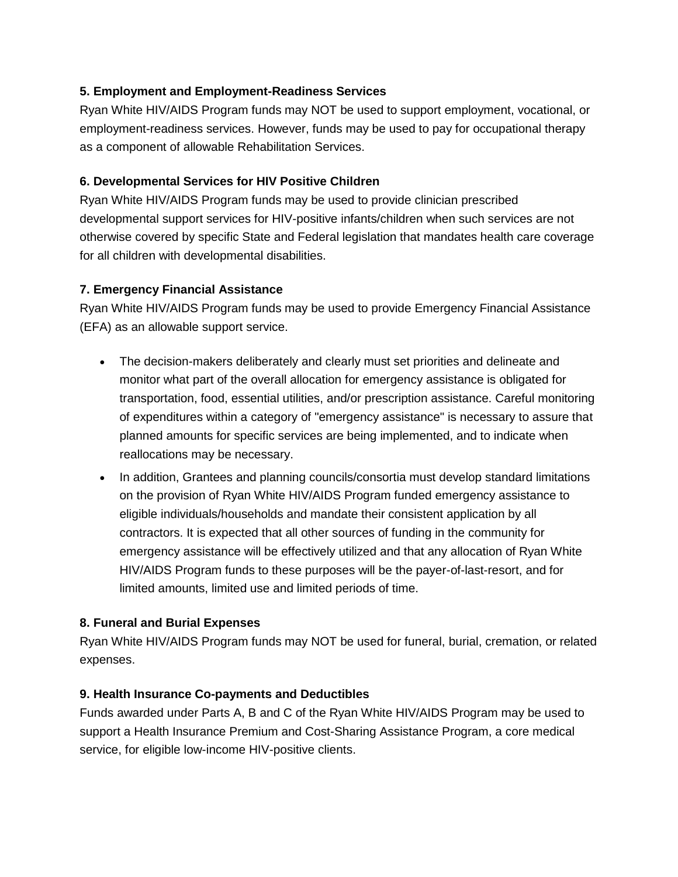## **5. Employment and Employment-Readiness Services**

Ryan White HIV/AIDS Program funds may NOT be used to support employment, vocational, or employment-readiness services. However, funds may be used to pay for occupational therapy as a component of allowable Rehabilitation Services.

## **6. Developmental Services for HIV Positive Children**

Ryan White HIV/AIDS Program funds may be used to provide clinician prescribed developmental support services for HIV-positive infants/children when such services are not otherwise covered by specific State and Federal legislation that mandates health care coverage for all children with developmental disabilities.

## **7. Emergency Financial Assistance**

Ryan White HIV/AIDS Program funds may be used to provide Emergency Financial Assistance (EFA) as an allowable support service.

- The decision-makers deliberately and clearly must set priorities and delineate and monitor what part of the overall allocation for emergency assistance is obligated for transportation, food, essential utilities, and/or prescription assistance. Careful monitoring of expenditures within a category of "emergency assistance" is necessary to assure that planned amounts for specific services are being implemented, and to indicate when reallocations may be necessary.
- In addition, Grantees and planning councils/consortia must develop standard limitations on the provision of Ryan White HIV/AIDS Program funded emergency assistance to eligible individuals/households and mandate their consistent application by all contractors. It is expected that all other sources of funding in the community for emergency assistance will be effectively utilized and that any allocation of Ryan White HIV/AIDS Program funds to these purposes will be the payer-of-last-resort, and for limited amounts, limited use and limited periods of time.

## **8. Funeral and Burial Expenses**

Ryan White HIV/AIDS Program funds may NOT be used for funeral, burial, cremation, or related expenses.

## **9. Health Insurance Co-payments and Deductibles**

Funds awarded under Parts A, B and C of the Ryan White HIV/AIDS Program may be used to support a Health Insurance Premium and Cost-Sharing Assistance Program, a core medical service, for eligible low-income HIV-positive clients.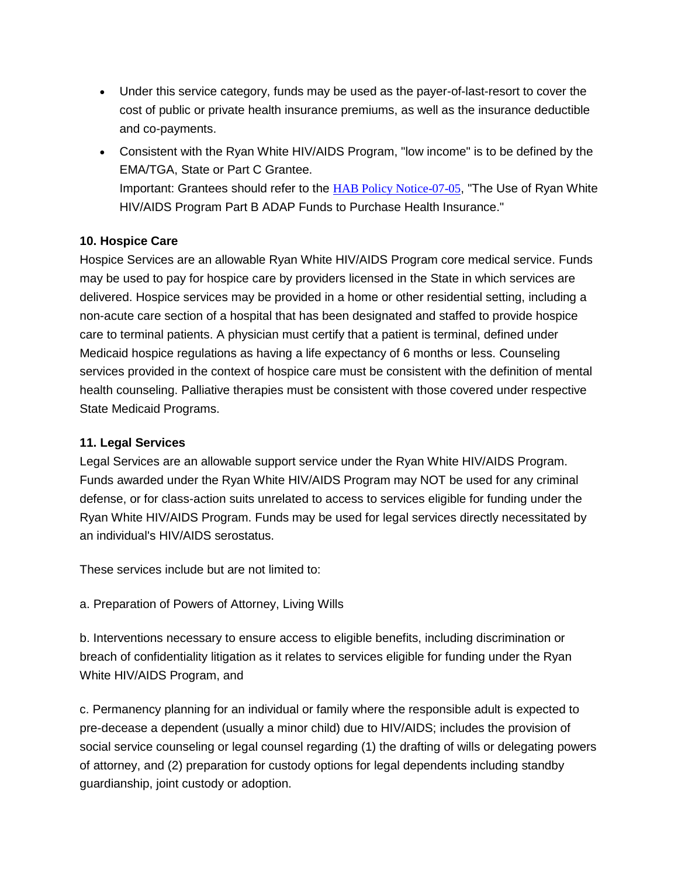- Under this service category, funds may be used as the payer-of-last-resort to cover the cost of public or private health insurance premiums, as well as the insurance deductible and co-payments.
- Consistent with the Ryan White HIV/AIDS Program, "low income" is to be defined by the EMA/TGA, State or Part C Grantee. Important: Grantees should refer to the **[HAB Policy Notice-07-05](http://hab.hrsa.gov/manageyourgrant/policiesletters.html)**, "The Use of Ryan White HIV/AIDS Program Part B ADAP Funds to Purchase Health Insurance."

#### **10. Hospice Care**

Hospice Services are an allowable Ryan White HIV/AIDS Program core medical service. Funds may be used to pay for hospice care by providers licensed in the State in which services are delivered. Hospice services may be provided in a home or other residential setting, including a non-acute care section of a hospital that has been designated and staffed to provide hospice care to terminal patients. A physician must certify that a patient is terminal, defined under Medicaid hospice regulations as having a life expectancy of 6 months or less. Counseling services provided in the context of hospice care must be consistent with the definition of mental health counseling. Palliative therapies must be consistent with those covered under respective State Medicaid Programs.

#### **11. Legal Services**

Legal Services are an allowable support service under the Ryan White HIV/AIDS Program. Funds awarded under the Ryan White HIV/AIDS Program may NOT be used for any criminal defense, or for class-action suits unrelated to access to services eligible for funding under the Ryan White HIV/AIDS Program. Funds may be used for legal services directly necessitated by an individual's HIV/AIDS serostatus.

These services include but are not limited to:

a. Preparation of Powers of Attorney, Living Wills

b. Interventions necessary to ensure access to eligible benefits, including discrimination or breach of confidentiality litigation as it relates to services eligible for funding under the Ryan White HIV/AIDS Program, and

c. Permanency planning for an individual or family where the responsible adult is expected to pre-decease a dependent (usually a minor child) due to HIV/AIDS; includes the provision of social service counseling or legal counsel regarding (1) the drafting of wills or delegating powers of attorney, and (2) preparation for custody options for legal dependents including standby guardianship, joint custody or adoption.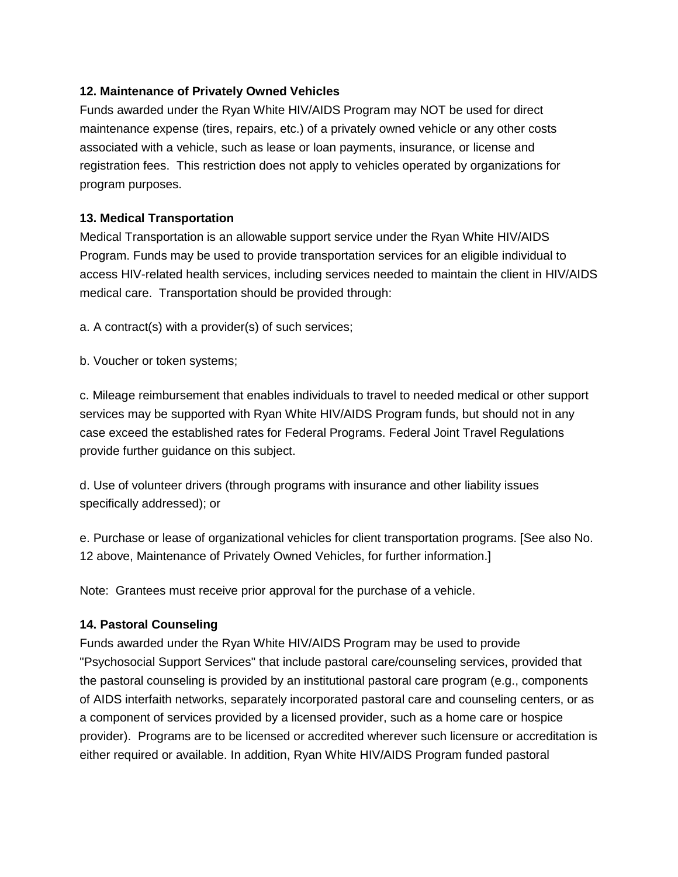#### **12. Maintenance of Privately Owned Vehicles**

Funds awarded under the Ryan White HIV/AIDS Program may NOT be used for direct maintenance expense (tires, repairs, etc.) of a privately owned vehicle or any other costs associated with a vehicle, such as lease or loan payments, insurance, or license and registration fees. This restriction does not apply to vehicles operated by organizations for program purposes.

#### **13. Medical Transportation**

Medical Transportation is an allowable support service under the Ryan White HIV/AIDS Program. Funds may be used to provide transportation services for an eligible individual to access HIV-related health services, including services needed to maintain the client in HIV/AIDS medical care. Transportation should be provided through:

a. A contract(s) with a provider(s) of such services;

b. Voucher or token systems;

c. Mileage reimbursement that enables individuals to travel to needed medical or other support services may be supported with Ryan White HIV/AIDS Program funds, but should not in any case exceed the established rates for Federal Programs. Federal Joint Travel Regulations provide further guidance on this subject.

d. Use of volunteer drivers (through programs with insurance and other liability issues specifically addressed); or

e. Purchase or lease of organizational vehicles for client transportation programs. [See also No. 12 above, Maintenance of Privately Owned Vehicles, for further information.]

Note: Grantees must receive prior approval for the purchase of a vehicle.

## **14. Pastoral Counseling**

Funds awarded under the Ryan White HIV/AIDS Program may be used to provide "Psychosocial Support Services" that include pastoral care/counseling services, provided that the pastoral counseling is provided by an institutional pastoral care program (e.g., components of AIDS interfaith networks, separately incorporated pastoral care and counseling centers, or as a component of services provided by a licensed provider, such as a home care or hospice provider). Programs are to be licensed or accredited wherever such licensure or accreditation is either required or available. In addition, Ryan White HIV/AIDS Program funded pastoral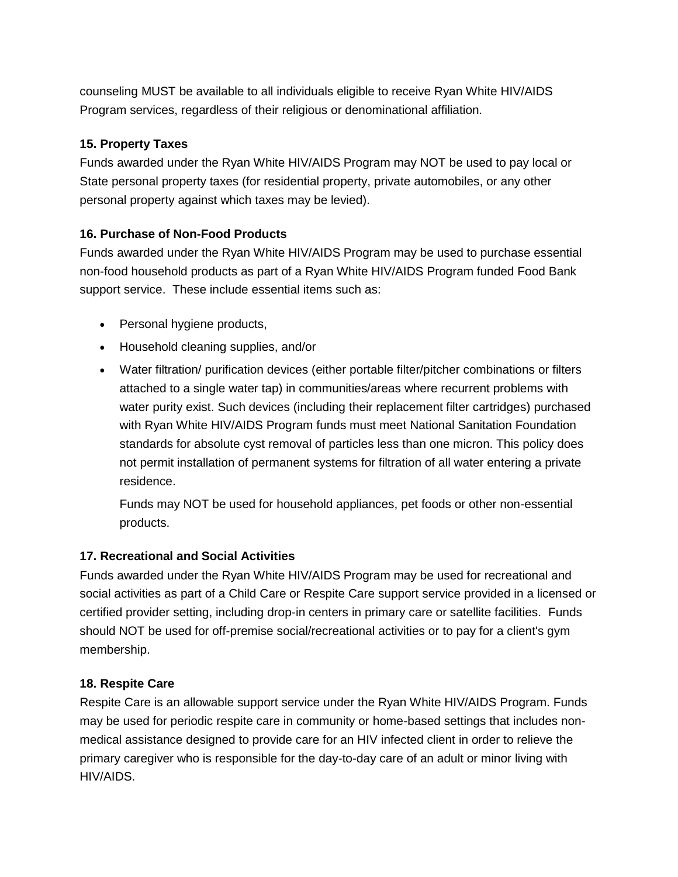counseling MUST be available to all individuals eligible to receive Ryan White HIV/AIDS Program services, regardless of their religious or denominational affiliation.

#### **15. Property Taxes**

Funds awarded under the Ryan White HIV/AIDS Program may NOT be used to pay local or State personal property taxes (for residential property, private automobiles, or any other personal property against which taxes may be levied).

#### **16. Purchase of Non-Food Products**

Funds awarded under the Ryan White HIV/AIDS Program may be used to purchase essential non-food household products as part of a Ryan White HIV/AIDS Program funded Food Bank support service. These include essential items such as:

- Personal hygiene products,
- Household cleaning supplies, and/or
- Water filtration/ purification devices (either portable filter/pitcher combinations or filters attached to a single water tap) in communities/areas where recurrent problems with water purity exist. Such devices (including their replacement filter cartridges) purchased with Ryan White HIV/AIDS Program funds must meet National Sanitation Foundation standards for absolute cyst removal of particles less than one micron. This policy does not permit installation of permanent systems for filtration of all water entering a private residence.

Funds may NOT be used for household appliances, pet foods or other non-essential products.

## **17. Recreational and Social Activities**

Funds awarded under the Ryan White HIV/AIDS Program may be used for recreational and social activities as part of a Child Care or Respite Care support service provided in a licensed or certified provider setting, including drop-in centers in primary care or satellite facilities. Funds should NOT be used for off-premise social/recreational activities or to pay for a client's gym membership.

#### **18. Respite Care**

Respite Care is an allowable support service under the Ryan White HIV/AIDS Program. Funds may be used for periodic respite care in community or home-based settings that includes nonmedical assistance designed to provide care for an HIV infected client in order to relieve the primary caregiver who is responsible for the day-to-day care of an adult or minor living with HIV/AIDS.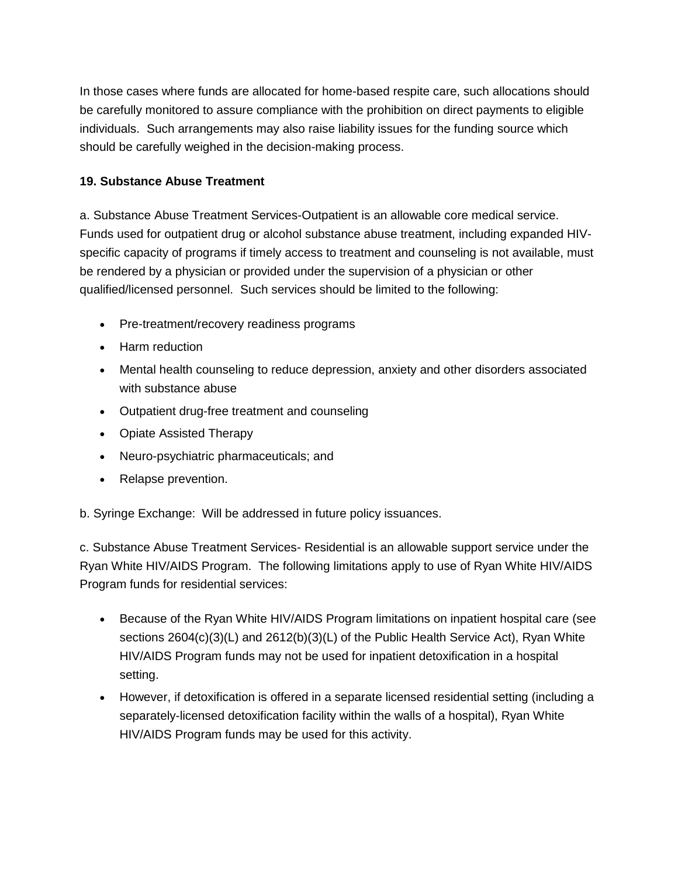In those cases where funds are allocated for home-based respite care, such allocations should be carefully monitored to assure compliance with the prohibition on direct payments to eligible individuals. Such arrangements may also raise liability issues for the funding source which should be carefully weighed in the decision-making process.

#### **19. Substance Abuse Treatment**

a. Substance Abuse Treatment Services-Outpatient is an allowable core medical service. Funds used for outpatient drug or alcohol substance abuse treatment, including expanded HIVspecific capacity of programs if timely access to treatment and counseling is not available, must be rendered by a physician or provided under the supervision of a physician or other qualified/licensed personnel. Such services should be limited to the following:

- Pre-treatment/recovery readiness programs
- Harm reduction
- Mental health counseling to reduce depression, anxiety and other disorders associated with substance abuse
- Outpatient drug-free treatment and counseling
- Opiate Assisted Therapy
- Neuro-psychiatric pharmaceuticals; and
- Relapse prevention.

b. Syringe Exchange: Will be addressed in future policy issuances.

c. Substance Abuse Treatment Services- Residential is an allowable support service under the Ryan White HIV/AIDS Program. The following limitations apply to use of Ryan White HIV/AIDS Program funds for residential services:

- Because of the Ryan White HIV/AIDS Program limitations on inpatient hospital care (see sections 2604(c)(3)(L) and 2612(b)(3)(L) of the Public Health Service Act), Ryan White HIV/AIDS Program funds may not be used for inpatient detoxification in a hospital setting.
- However, if detoxification is offered in a separate licensed residential setting (including a separately-licensed detoxification facility within the walls of a hospital), Ryan White HIV/AIDS Program funds may be used for this activity.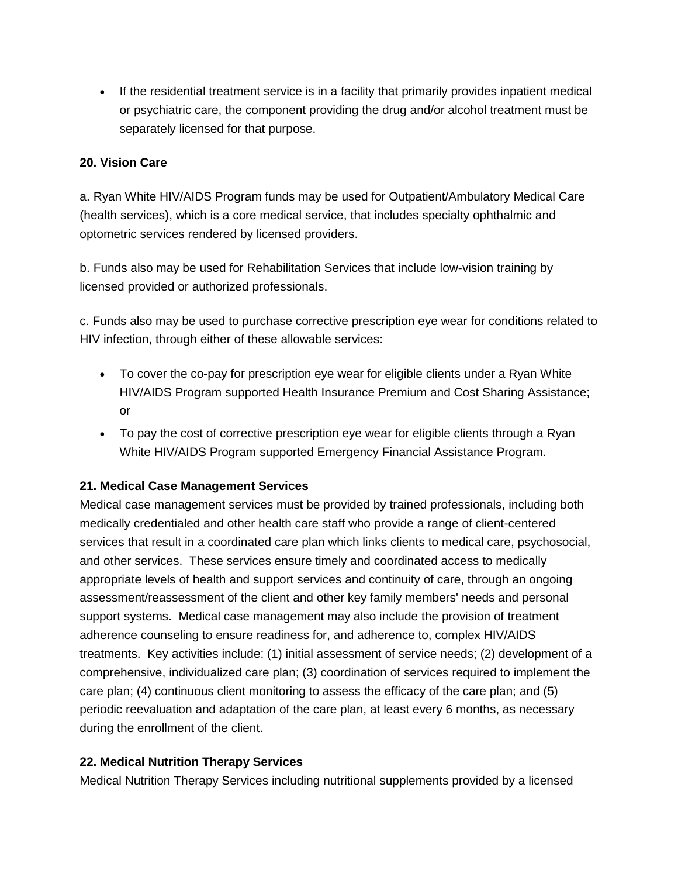If the residential treatment service is in a facility that primarily provides inpatient medical or psychiatric care, the component providing the drug and/or alcohol treatment must be separately licensed for that purpose.

#### **20. Vision Care**

a. Ryan White HIV/AIDS Program funds may be used for Outpatient/Ambulatory Medical Care (health services), which is a core medical service, that includes specialty ophthalmic and optometric services rendered by licensed providers.

b. Funds also may be used for Rehabilitation Services that include low-vision training by licensed provided or authorized professionals.

c. Funds also may be used to purchase corrective prescription eye wear for conditions related to HIV infection, through either of these allowable services:

- To cover the co-pay for prescription eye wear for eligible clients under a Ryan White HIV/AIDS Program supported Health Insurance Premium and Cost Sharing Assistance; or
- To pay the cost of corrective prescription eye wear for eligible clients through a Ryan White HIV/AIDS Program supported Emergency Financial Assistance Program.

## **21. Medical Case Management Services**

Medical case management services must be provided by trained professionals, including both medically credentialed and other health care staff who provide a range of client-centered services that result in a coordinated care plan which links clients to medical care, psychosocial, and other services. These services ensure timely and coordinated access to medically appropriate levels of health and support services and continuity of care, through an ongoing assessment/reassessment of the client and other key family members' needs and personal support systems. Medical case management may also include the provision of treatment adherence counseling to ensure readiness for, and adherence to, complex HIV/AIDS treatments. Key activities include: (1) initial assessment of service needs; (2) development of a comprehensive, individualized care plan; (3) coordination of services required to implement the care plan; (4) continuous client monitoring to assess the efficacy of the care plan; and (5) periodic reevaluation and adaptation of the care plan, at least every 6 months, as necessary during the enrollment of the client.

#### **22. Medical Nutrition Therapy Services**

Medical Nutrition Therapy Services including nutritional supplements provided by a licensed